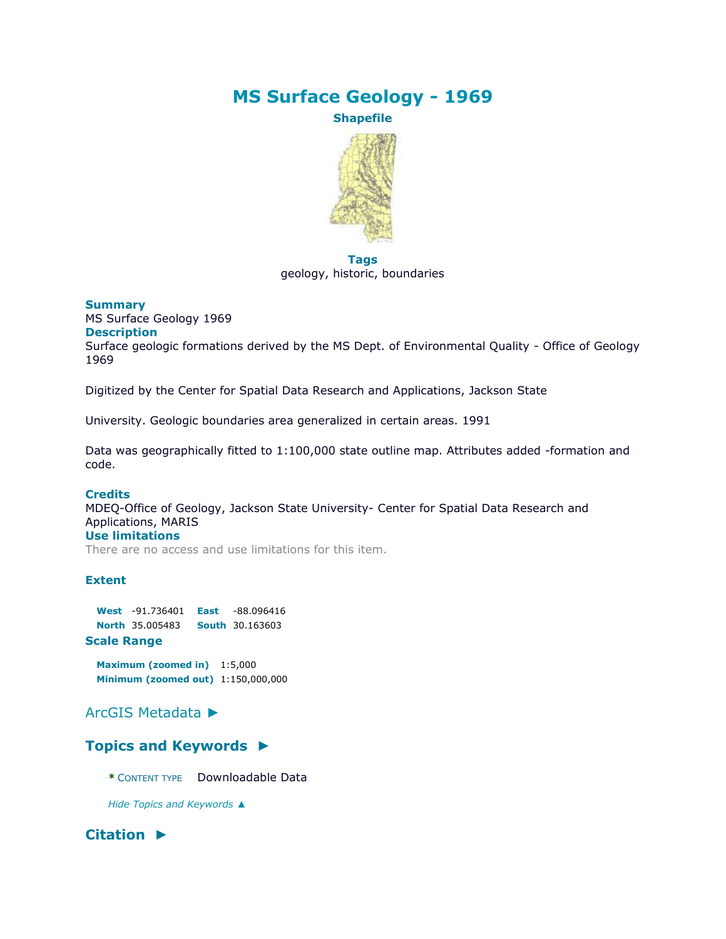# **MS Surface Geology - 1969**

**Shapefile**



**Tags** geology, historic, boundaries

### **Summary**

MS Surface Geology 1969 **Description** Surface geologic formations derived by the MS Dept. of Environmental Quality - Office of Geology 1969

Digitized by the Center for Spatial Data Research and Applications, Jackson State

University. Geologic boundaries area generalized in certain areas. 1991

Data was geographically fitted to 1:100,000 state outline map. Attributes added -formation and code.

### **Credits**

MDEQ-Office of Geology, Jackson State University- Center for Spatial Data Research and Applications, MARIS **Use limitations**

There are no access and use limitations for this item.

### **Extent**

**West** -91.736401 **East** -88.096416 **North** 35.005483 **South** 30.163603 **Scale Range**

**Maximum (zoomed in)** 1:5,000 **Minimum (zoomed out)** 1:150,000,000

## [ArcGIS Metadata](file:///C:/Users/swalker/AppData/Local/Temp/arc4EC9/tmp4BC6.tmp.htm%23arcgisMetadata) ►

## **[Topics and Keywords](file:///C:/Users/swalker/AppData/Local/Temp/arc4EC9/tmp4BC6.tmp.htm%23true) ►**

**\*** CONTENT TYPE Downloadable Data

*Hide [Topics and Keywords](file:///C:/Users/swalker/AppData/Local/Temp/arc4EC9/tmp4BC6.tmp.htm%23true) ▲*

## **[Citation](file:///C:/Users/swalker/AppData/Local/Temp/arc4EC9/tmp4BC6.tmp.htm%23ID0ELKA) ►**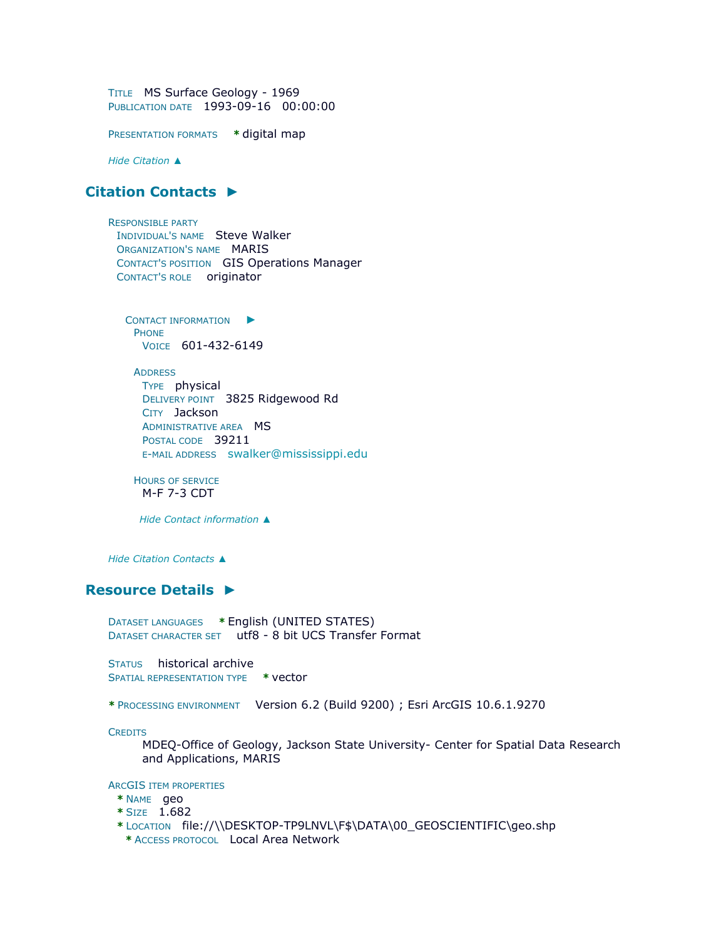TITLE MS Surface Geology - 1969 PUBLICATION DATE 1993-09-16 00:00:00

PRESENTATION FORMATS **\*** digital map

*Hide [Citation](file:///C:/Users/swalker/AppData/Local/Temp/arc4EC9/tmp4BC6.tmp.htm%23ID0ELKA) ▲*

## **[Citation Contacts](file:///C:/Users/swalker/AppData/Local/Temp/arc4EC9/tmp4BC6.tmp.htm%23ID0EBLKA) ►**

RESPONSIBLE PARTY INDIVIDUAL'S NAME Steve Walker ORGANIZATION'S NAME MARIS CONTACT'S POSITION GIS Operations Manager CONTACT'S ROLE originator

C[ONTACT INFORMATION](file:///C:/Users/swalker/AppData/Local/Temp/arc4EC9/tmp4BC6.tmp.htm%23ID0EABLKA)  $\blacktriangleright$ PHONE VOICE 601-432-6149

**ADDRESS** TYPE physical DELIVERY POINT 3825 Ridgewood Rd CITY Jackson ADMINISTRATIVE AREA **MS** POSTAL CODE 39211 E-MAIL ADDRESS [swalker@mississippi.edu](mailto:swalker@mississippi.edu?subject=MS%20Surface%20Geology%20-%201969)

HOURS OF SERVICE M-F 7-3 CDT

*Hide [Contact information](file:///C:/Users/swalker/AppData/Local/Temp/arc4EC9/tmp4BC6.tmp.htm%23ID0EABLKA) ▲*

*Hide [Citation Contacts](file:///C:/Users/swalker/AppData/Local/Temp/arc4EC9/tmp4BC6.tmp.htm%23ID0EBLKA) ▲*

## **[Resource Details](file:///C:/Users/swalker/AppData/Local/Temp/arc4EC9/tmp4BC6.tmp.htm%23ID0EEBGNA) ►**

DATASET LANGUAGES **\*** English (UNITED STATES) DATASET CHARACTER SET utf8 - 8 bit UCS Transfer Format

STATUS historical archive SPATIAL REPRESENTATION TYPE **\*** vector

**\*** PROCESSING ENVIRONMENT Version 6.2 (Build 9200) ; Esri ArcGIS 10.6.1.9270

**CREDITS** 

MDEQ-Office of Geology, Jackson State University- Center for Spatial Data Research and Applications, MARIS

ARCGIS ITEM PROPERTIES

- **\*** NAME geo
- **\*** SIZE 1.682
- **\*** LOCATION file://\\DESKTOP-TP9LNVL\F\$\DATA\00\_GEOSCIENTIFIC\geo.shp
	- **\*** ACCESS PROTOCOL Local Area Network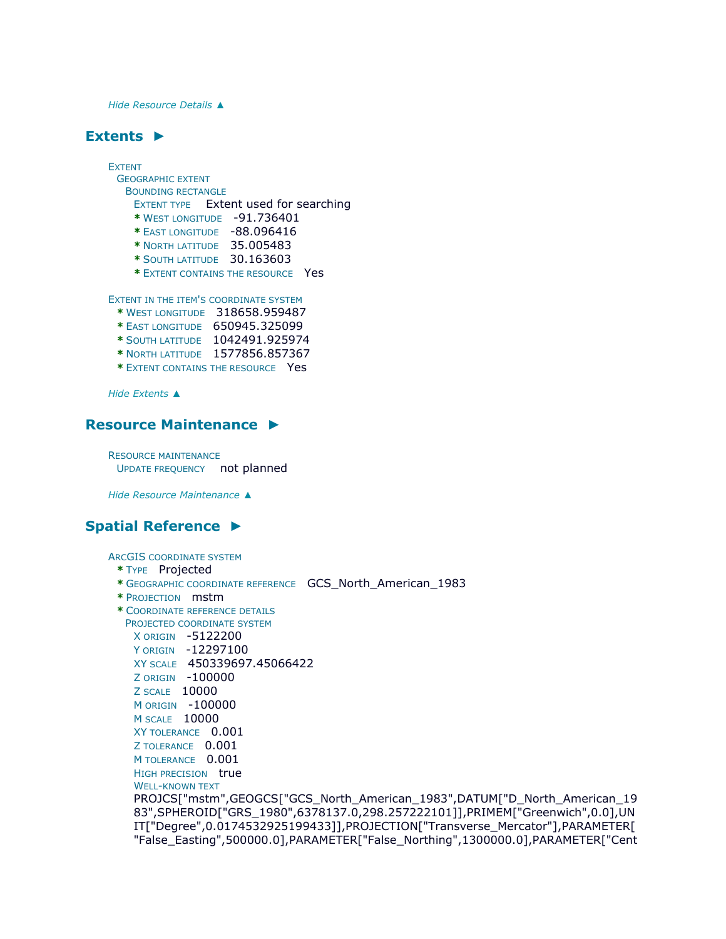*Hide [Resource Details](file:///C:/Users/swalker/AppData/Local/Temp/arc4EC9/tmp4BC6.tmp.htm%23ID0EEBGNA) ▲*

## **[Extents](file:///C:/Users/swalker/AppData/Local/Temp/arc4EC9/tmp4BC6.tmp.htm%23ID0EEDBGNA) ►**

EXTENT GEOGRAPHIC EXTENT BOUNDING RECTANGLE EXTENT TYPE Extent used for searching **\*** WEST LONGITUDE -91.736401 **\*** EAST LONGITUDE -88.096416 **\*** NORTH LATITUDE 35.005483 **\*** SOUTH LATITUDE 30.163603 **\*** EXTENT CONTAINS THE RESOURCE Yes EXTENT IN THE ITEM'S COORDINATE SYSTEM **\*** WEST LONGITUDE 318658.959487 **\*** EAST LONGITUDE 650945.325099

- **\*** SOUTH LATITUDE 1042491.925974
- **\*** NORTH LATITUDE 1577856.857367
- **\*** EXTENT CONTAINS THE RESOURCE Yes

*Hide [Extents](file:///C:/Users/swalker/AppData/Local/Temp/arc4EC9/tmp4BC6.tmp.htm%23ID0EEDBGNA) ▲*

### **[Resource Maintenance](file:///C:/Users/swalker/AppData/Local/Temp/arc4EC9/tmp4BC6.tmp.htm%23ID0EEKA) ►**

RESOURCE MAINTENANCE UPDATE FREQUENCY not planned

*Hide [Resource Maintenance](file:///C:/Users/swalker/AppData/Local/Temp/arc4EC9/tmp4BC6.tmp.htm%23ID0EEKA) ▲*

### **[Spatial Reference](file:///C:/Users/swalker/AppData/Local/Temp/arc4EC9/tmp4BC6.tmp.htm%23ID0EEAGNA) ►**

ARCGIS COORDINATE SYSTEM

#### **\*** TYPE Projected

- **\*** GEOGRAPHIC COORDINATE REFERENCE GCS\_North\_American\_1983
- **\*** PROJECTION mstm
- **\*** COORDINATE REFERENCE DETAILS

PROJECTED COORDINATE SYSTEM X ORIGIN -5122200

```
Y ORIGIN -12297100
```
XY SCALE 450339697.45066422

```
Z ORIGIN -100000
```
Z SCALE 10000

M ORIGIN -100000

M SCALE 10000

XY TOLERANCE 0.001

Z TOLERANCE 0.001

M TOLERANCE 0.001 HIGH PRECISION true

WELL-KNOWN TEXT

PROJCS["mstm",GEOGCS["GCS\_North\_American\_1983",DATUM["D\_North\_American\_19 83",SPHEROID["GRS\_1980",6378137.0,298.257222101]],PRIMEM["Greenwich",0.0],UN IT["Degree",0.0174532925199433]],PROJECTION["Transverse\_Mercator"],PARAMETER[ "False\_Easting",500000.0],PARAMETER["False\_Northing",1300000.0],PARAMETER["Cent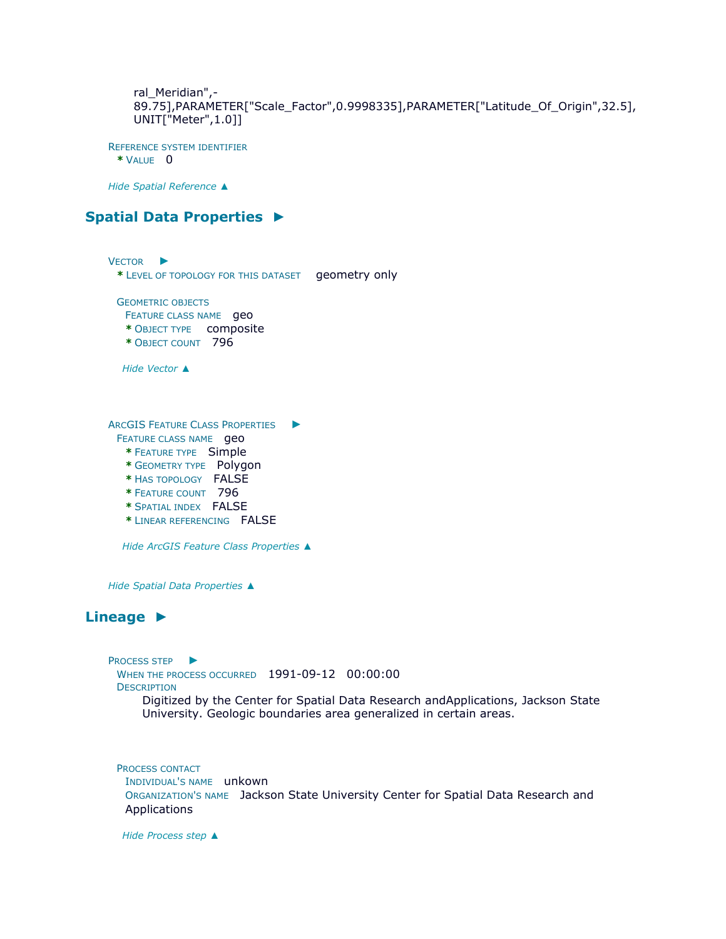ral\_Meridian",- 89.75],PARAMETER["Scale\_Factor",0.9998335],PARAMETER["Latitude\_Of\_Origin",32.5], UNIT["Meter",1.0]]

REFERENCE SYSTEM IDENTIFIER **\*** VALUE 0

*Hide [Spatial Reference](file:///C:/Users/swalker/AppData/Local/Temp/arc4EC9/tmp4BC6.tmp.htm%23ID0EEAGNA) ▲*

## **[Spatial Data Properties](file:///C:/Users/swalker/AppData/Local/Temp/arc4EC9/tmp4BC6.tmp.htm%23ID0EADA) ►**

V[ECTOR](file:///C:/Users/swalker/AppData/Local/Temp/arc4EC9/tmp4BC6.tmp.htm%23ID0EBADA) ▶ **\*** LEVEL OF TOPOLOGY FOR THIS DATASET geometry only GEOMETRIC OBJECTS FEATURE CLASS NAME **geo \*** OBJECT TYPE composite **\*** OBJECT COUNT 796 *Hide [Vector](file:///C:/Users/swalker/AppData/Local/Temp/arc4EC9/tmp4BC6.tmp.htm%23ID0EBADA) ▲* ARCGIS FEATURE CLASS P[ROPERTIES](file:///C:/Users/swalker/AppData/Local/Temp/arc4EC9/tmp4BC6.tmp.htm%23ID0EA) ► FEATURE CLASS NAME **geo \*** FEATURE TYPE Simple **\*** GEOMETRY TYPE Polygon **\*** HAS TOPOLOGY FALSE **\*** FEATURE COUNT 796 **\*** SPATIAL INDEX FALSE **\*** LINEAR REFERENCING FALSE *Hide [ArcGIS Feature Class Properties](file:///C:/Users/swalker/AppData/Local/Temp/arc4EC9/tmp4BC6.tmp.htm%23ID0EA) ▲*

*Hide [Spatial Data Properties](file:///C:/Users/swalker/AppData/Local/Temp/arc4EC9/tmp4BC6.tmp.htm%23ID0EADA) ▲*

## **[Lineage](file:///C:/Users/swalker/AppData/Local/Temp/arc4EC9/tmp4BC6.tmp.htm%23ID0EAAA) ►**

P[ROCESS STEP](file:///C:/Users/swalker/AppData/Local/Temp/arc4EC9/tmp4BC6.tmp.htm%23ID0ECAAAA) ▶ WHEN THE PROCESS OCCURRED 1991-09-12 00:00:00 **DESCRIPTION** 

Digitized by the Center for Spatial Data Research andApplications, Jackson State University. Geologic boundaries area generalized in certain areas.

PROCESS CONTACT

INDIVIDUAL'S NAME unkown ORGANIZATION'S NAME Jackson State University Center for Spatial Data Research and Applications

*Hide [Process step](file:///C:/Users/swalker/AppData/Local/Temp/arc4EC9/tmp4BC6.tmp.htm%23ID0ECAAAA) ▲*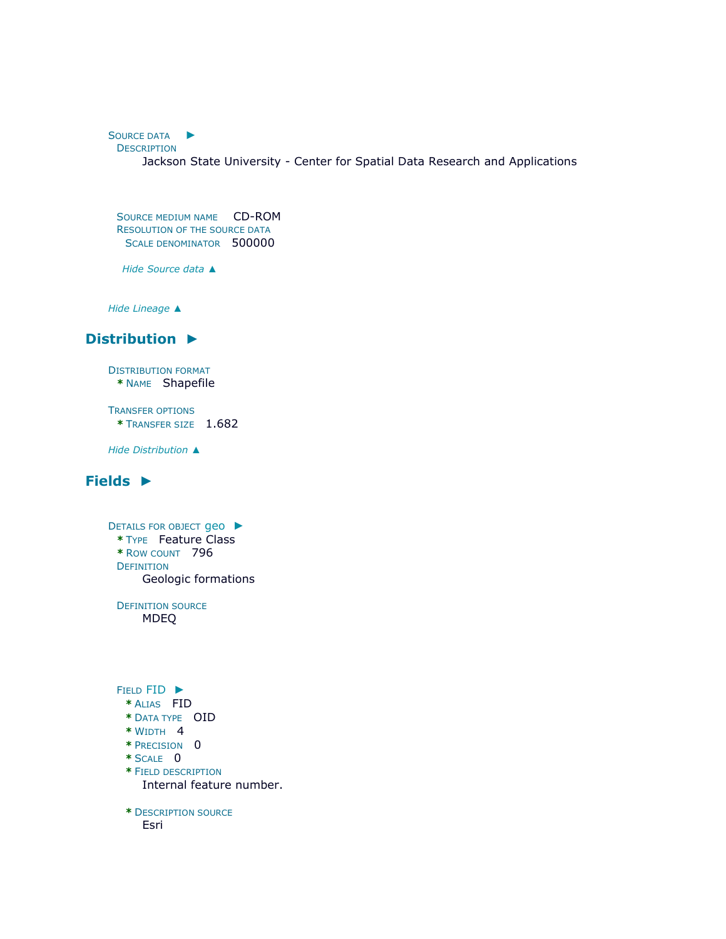S[OURCE DATA](file:///C:/Users/swalker/AppData/Local/Temp/arc4EC9/tmp4BC6.tmp.htm%23ID0ECBAAA) ► **DESCRIPTION** 

Jackson State University - Center for Spatial Data Research and Applications

SOURCE MEDIUM NAME CD-ROM RESOLUTION OF THE SOURCE DATA SCALE DENOMINATOR 500000

*Hide [Source data](file:///C:/Users/swalker/AppData/Local/Temp/arc4EC9/tmp4BC6.tmp.htm%23ID0ECBAAA) ▲*

*Hide [Lineage](file:///C:/Users/swalker/AppData/Local/Temp/arc4EC9/tmp4BC6.tmp.htm%23ID0EAAA) ▲*

## **[Distribution](file:///C:/Users/swalker/AppData/Local/Temp/arc4EC9/tmp4BC6.tmp.htm%23ID0EHA) ►**

DISTRIBUTION FORMAT **\*** NAME Shapefile

TRANSFER OPTIONS **\*** TRANSFER SIZE 1.682

*Hide [Distribution](file:///C:/Users/swalker/AppData/Local/Temp/arc4EC9/tmp4BC6.tmp.htm%23ID0EHA) ▲*

## **[Fields](file:///C:/Users/swalker/AppData/Local/Temp/arc4EC9/tmp4BC6.tmp.htm%23ID0EJA) ►**

D[ETAILS FOR OBJECT](file:///C:/Users/swalker/AppData/Local/Temp/arc4EC9/tmp4BC6.tmp.htm%23ID0EAJA) geo ► **\*** TYPE Feature Class **\*** ROW COUNT 796 **DEFINITION** Geologic formations DEFINITION SOURCE

MDEQ

FIELD [FID](file:///C:/Users/swalker/AppData/Local/Temp/arc4EC9/tmp4BC6.tmp.htm%23ID0EJAJA) ►

- **\*** ALIAS FID
- **\*** DATA TYPE OID
- **\*** WIDTH 4
- **\*** PRECISION 0
- **\*** SCALE 0
- **\*** FIELD DESCRIPTION Internal feature number.

**\*** DESCRIPTION SOURCE

Esri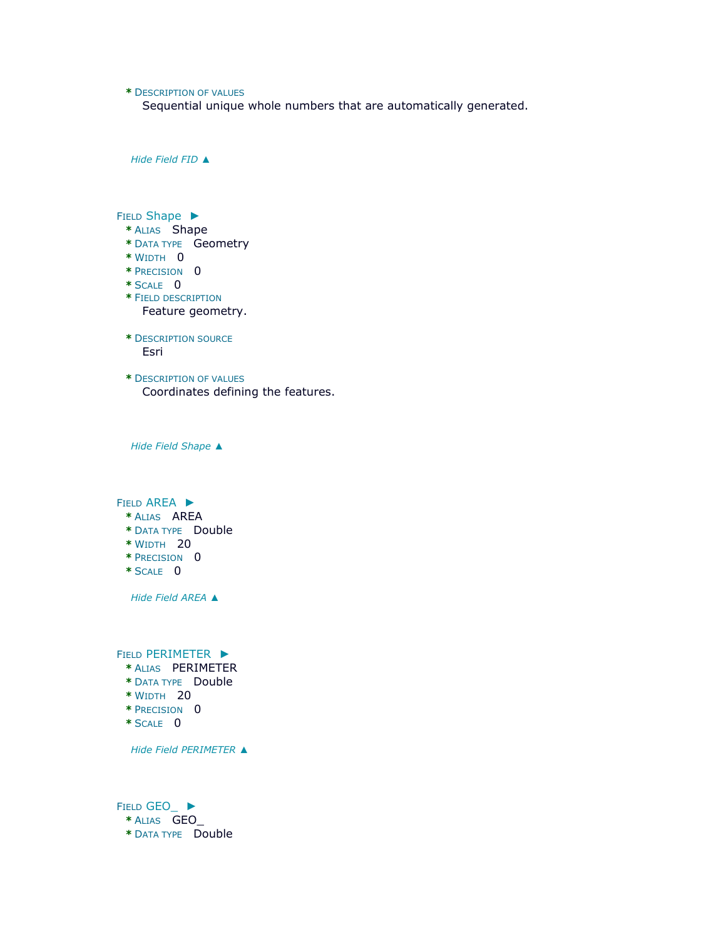### **\*** DESCRIPTION OF VALUES

Sequential unique whole numbers that are automatically generated.

*Hide [Field](file:///C:/Users/swalker/AppData/Local/Temp/arc4EC9/tmp4BC6.tmp.htm%23ID0EJAJA) FID ▲*

FIELD [Shape](file:///C:/Users/swalker/AppData/Local/Temp/arc4EC9/tmp4BC6.tmp.htm%23ID0EIAJA) ► **\*** ALIAS Shape **\*** DATA TYPE Geometry **\*** WIDTH 0 **\*** PRECISION 0 **\*** SCALE 0 **\*** FIELD DESCRIPTION Feature geometry. **\*** DESCRIPTION SOURCE Esri **\*** DESCRIPTION OF VALUES Coordinates defining the features.

*Hide Field [Shape](file:///C:/Users/swalker/AppData/Local/Temp/arc4EC9/tmp4BC6.tmp.htm%23ID0EIAJA) ▲*

FIELD [AREA](file:///C:/Users/swalker/AppData/Local/Temp/arc4EC9/tmp4BC6.tmp.htm%23ID0EHAJA) ►

- **\*** ALIAS AREA
- **\*** DATA TYPE Double
- **\*** WIDTH 20
- **\*** PRECISION 0
- **\*** SCALE 0

*Hide Field [AREA](file:///C:/Users/swalker/AppData/Local/Temp/arc4EC9/tmp4BC6.tmp.htm%23ID0EHAJA) ▲*

FIELD [PERIMETER](file:///C:/Users/swalker/AppData/Local/Temp/arc4EC9/tmp4BC6.tmp.htm%23ID0EGAJA) ►

- **\*** ALIAS PERIMETER
- **\*** DATA TYPE Double
- **\*** WIDTH 20
- **\*** PRECISION 0
- **\*** SCALE 0

*Hide Field [PERIMETER](file:///C:/Users/swalker/AppData/Local/Temp/arc4EC9/tmp4BC6.tmp.htm%23ID0EGAJA) ▲*

FIELD [GEO\\_](file:///C:/Users/swalker/AppData/Local/Temp/arc4EC9/tmp4BC6.tmp.htm%23ID0EFAJA) ► **\*** ALIAS GEO\_ **\*** DATA TYPE Double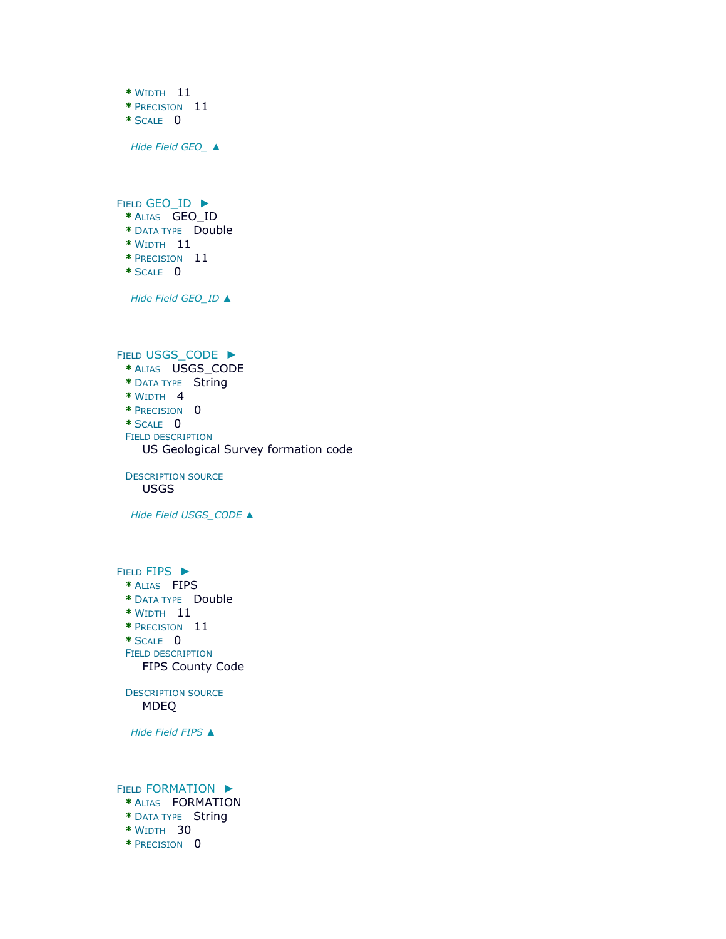**\*** WIDTH 11 **\*** PRECISION 11 **\*** SCALE 0 *Hide Field [GEO\\_](file:///C:/Users/swalker/AppData/Local/Temp/arc4EC9/tmp4BC6.tmp.htm%23ID0EFAJA) ▲*

FIELD [GEO\\_ID](file:///C:/Users/swalker/AppData/Local/Temp/arc4EC9/tmp4BC6.tmp.htm%23ID0EEAJA) ► **\*** ALIAS GEO\_ID **\*** DATA TYPE Double **\*** WIDTH 11 **\*** PRECISION 11 **\*** SCALE 0

*Hide Field [GEO\\_ID](file:///C:/Users/swalker/AppData/Local/Temp/arc4EC9/tmp4BC6.tmp.htm%23ID0EEAJA) ▲*

FIELD [USGS\\_CODE](file:///C:/Users/swalker/AppData/Local/Temp/arc4EC9/tmp4BC6.tmp.htm%23ID0EDAJA) ▶ **\*** ALIAS USGS\_CODE **\*** DATA TYPE String **\*** WIDTH 4 **\*** PRECISION 0 **\*** SCALE 0 FIELD DESCRIPTION US Geological Survey formation code

DESCRIPTION SOURCE USGS

*Hide Field [USGS\\_CODE](file:///C:/Users/swalker/AppData/Local/Temp/arc4EC9/tmp4BC6.tmp.htm%23ID0EDAJA) ▲*

FIELD [FIPS](file:///C:/Users/swalker/AppData/Local/Temp/arc4EC9/tmp4BC6.tmp.htm%23ID0ECAJA) ► **\*** ALIAS FIPS **\*** DATA TYPE Double **\*** WIDTH 11 **\*** PRECISION 11 **\*** SCALE 0 FIELD DESCRIPTION FIPS County Code DESCRIPTION SOURCE MDEQ

*Hide [Field](file:///C:/Users/swalker/AppData/Local/Temp/arc4EC9/tmp4BC6.tmp.htm%23ID0ECAJA) FIPS ▲*

FIELD [FORMATION](file:///C:/Users/swalker/AppData/Local/Temp/arc4EC9/tmp4BC6.tmp.htm%23ID0EBAJA) ►

- **\*** ALIAS FORMATION
- **\*** DATA TYPE String
- **\*** WIDTH 30
- **\*** PRECISION 0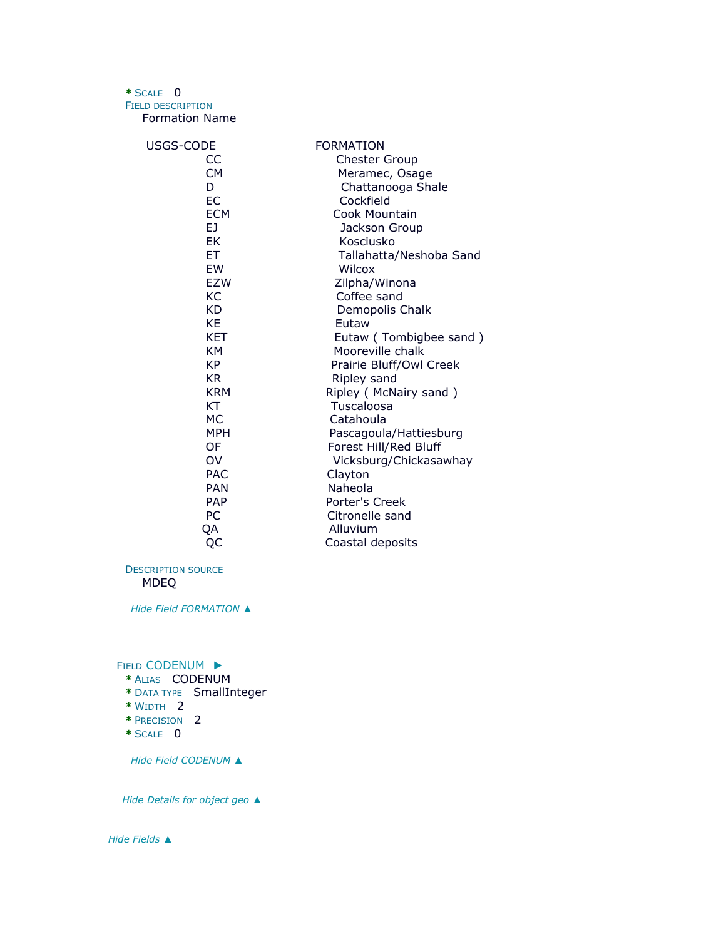### **\*** SCALE 0

FIELD DESCRIPTION

Formation Name

| USGS-CODE  | <b>FORMATION</b>        |
|------------|-------------------------|
| CC         | <b>Chester Group</b>    |
| <b>CM</b>  | Meramec, Osage          |
| D          | Chattanooga Shale       |
| EC         | Cockfield               |
| <b>ECM</b> | Cook Mountain           |
| EJ.        | Jackson Group           |
| EK         | Kosciusko               |
| ЕT         | Tallahatta/Neshoba Sand |
| EW         | Wilcox                  |
| <b>EZW</b> | Zilpha/Winona           |
| КC         | Coffee sand             |
| KD         | Demopolis Chalk         |
| KE         | Eutaw                   |
| <b>KET</b> | Eutaw (Tombigbee sand)  |
| KM         | Mooreville chalk        |
| KP         | Prairie Bluff/Owl Creek |
| KR.        | Ripley sand             |
| <b>KRM</b> | Ripley (McNairy sand)   |
| KT         | Tuscaloosa              |
| МC         | Catahoula               |
| MPH        | Pascagoula/Hattiesburg  |
| OF         | Forest Hill/Red Bluff   |
| OV         | Vicksburg/Chickasawhay  |
| <b>PAC</b> | Clayton                 |
| <b>PAN</b> | Naheola                 |
| <b>PAP</b> | Porter's Creek          |
| РC         | Citronelle sand         |
| QA         | Alluvium                |
| QC         | Coastal deposits        |

DESCRIPTION SOURCE MDEQ

*Hide Field [FORMATION](file:///C:/Users/swalker/AppData/Local/Temp/arc4EC9/tmp4BC6.tmp.htm%23ID0EBAJA) ▲*

FIELD [CODENUM](file:///C:/Users/swalker/AppData/Local/Temp/arc4EC9/tmp4BC6.tmp.htm%23ID0EAAJA) ►

- **\*** ALIAS CODENUM
- **\*** DATA TYPE SmallInteger
- **\*** WIDTH 2
- **\*** PRECISION 2
- **\*** SCALE 0

*Hide Field [CODENUM](file:///C:/Users/swalker/AppData/Local/Temp/arc4EC9/tmp4BC6.tmp.htm%23ID0EAAJA) ▲*

*Hide [Details for object](file:///C:/Users/swalker/AppData/Local/Temp/arc4EC9/tmp4BC6.tmp.htm%23ID0EAJA) geo ▲*

*Hide [Fields](file:///C:/Users/swalker/AppData/Local/Temp/arc4EC9/tmp4BC6.tmp.htm%23ID0EJA) ▲*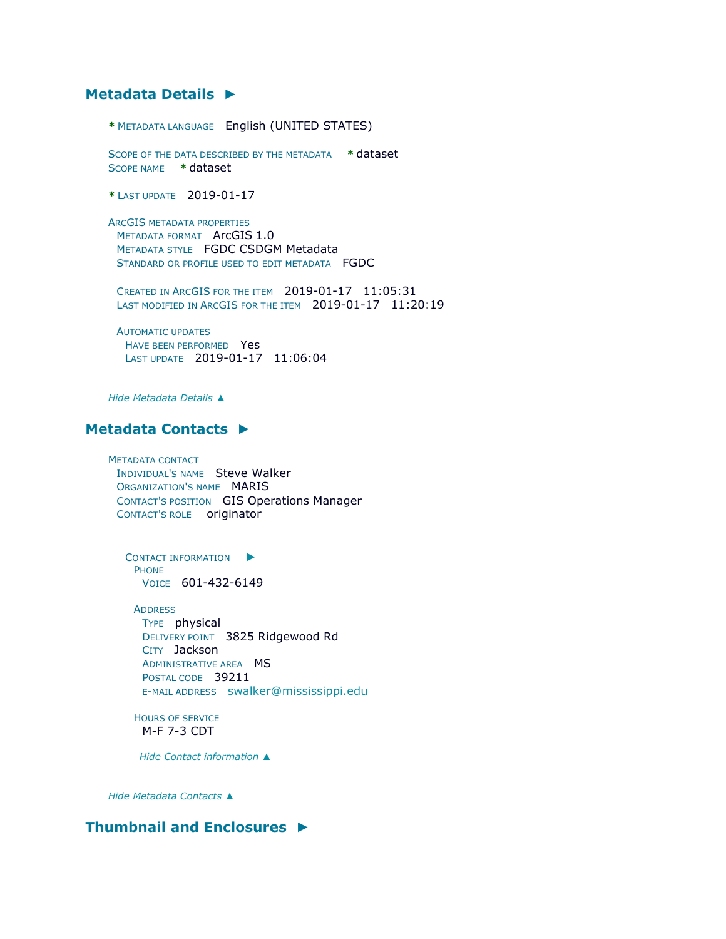## **[Metadata Details](file:///C:/Users/swalker/AppData/Local/Temp/arc4EC9/tmp4BC6.tmp.htm%23ID0TALNA) ►**

**\*** METADATA LANGUAGE English (UNITED STATES)

SCOPE OF THE DATA DESCRIBED BY THE METADATA **\*** dataset SCOPE NAME **\*** dataset

**\*** LAST UPDATE 2019-01-17

ARCGIS METADATA PROPERTIES METADATA FORMAT ArcGIS 1.0 METADATA STYLE FGDC CSDGM Metadata STANDARD OR PROFILE USED TO EDIT METADATA FGDC

CREATED IN ARCGIS FOR THE ITEM 2019-01-17 11:05:31 LAST MODIFIED IN ARCGIS FOR THE ITEM 2019-01-17 11:20:19

AUTOMATIC UPDATES HAVE BEEN PERFORMED Yes LAST UPDATE 2019-01-17 11:06:04

*Hide [Metadata Details](file:///C:/Users/swalker/AppData/Local/Temp/arc4EC9/tmp4BC6.tmp.htm%23ID0TALNA) ▲*

### **[Metadata Contacts](file:///C:/Users/swalker/AppData/Local/Temp/arc4EC9/tmp4BC6.tmp.htm%23ID0ELA) ►**

METADATA CONTACT INDIVIDUAL'S NAME Steve Walker ORGANIZATION'S NAME MARIS CONTACT'S POSITION GIS Operations Manager CONTACT'S ROLE originator

C[ONTACT INFORMATION](file:///C:/Users/swalker/AppData/Local/Temp/arc4EC9/tmp4BC6.tmp.htm%23ID0EBLA)  $\blacktriangleright$ PHONE VOICE 601-432-6149

ADDRESS TYPE physical DELIVERY POINT 3825 Ridgewood Rd CITY Jackson ADMINISTRATIVE AREA MS POSTAL CODE 39211 E-MAIL ADDRESS [swalker@mississippi.edu](mailto:swalker@mississippi.edu?subject=MS%20Surface%20Geology%20-%201969)

HOURS OF SERVICE M-F 7-3 CDT

*Hide [Contact information](file:///C:/Users/swalker/AppData/Local/Temp/arc4EC9/tmp4BC6.tmp.htm%23ID0EBLA) ▲*

*Hide [Metadata Contacts](file:///C:/Users/swalker/AppData/Local/Temp/arc4EC9/tmp4BC6.tmp.htm%23ID0ELA) ▲*

## **[Thumbnail and Enclosures](file:///C:/Users/swalker/AppData/Local/Temp/arc4EC9/tmp4BC6.tmp.htm%23ID0EMA) ►**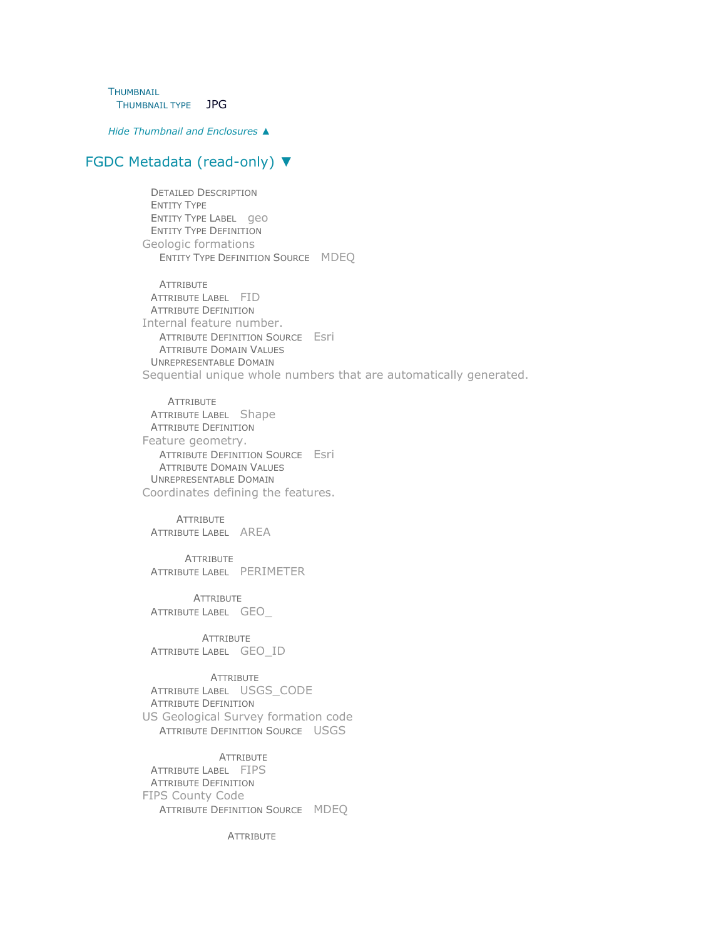**THUMBNAIL** THUMBNAIL TYPE JPG

*Hide [Thumbnail and Enclosures](file:///C:/Users/swalker/AppData/Local/Temp/arc4EC9/tmp4BC6.tmp.htm%23ID0EMA) ▲*

## [FGDC Metadata \(read-only\)](file:///C:/Users/swalker/AppData/Local/Temp/arc4EC9/tmp4BC6.tmp.htm%23fgdcMetadata) ▼

DETAILED DESCRIPTION ENTITY TYPE ENTITY TYPE LABEL geo ENTITY TYPE DEFINITION Geologic formations ENTITY TYPE DEFINITION SOURCE MDEQ

**ATTRIBUTE** ATTRIBUTE LABEL FID ATTRIBUTE DEFINITION Internal feature number. ATTRIBUTE DEFINITION SOURCE Esri ATTRIBUTE DOMAIN VALUES UNREPRESENTABLE DOMAIN Sequential unique whole numbers that are automatically generated.

**ATTRIBUTE** ATTRIBUTE LABEL Shape ATTRIBUTE DEFINITION Feature geometry. ATTRIBUTE DEFINITION SOURCE Esri ATTRIBUTE DOMAIN VALUES UNREPRESENTABLE DOMAIN Coordinates defining the features.

**ATTRIBUTE** ATTRIBUTE LABEL AREA

**ATTRIBUTE** ATTRIBUTE LABEL PERIMETER

**ATTRIBUTE** ATTRIBUTE LABEL GEO\_

**ATTRIBUTE** ATTRIBUTE LABEL GEO\_ID

**ATTRIBUTE** ATTRIBUTE LABEL USGS\_CODE ATTRIBUTE DEFINITION US Geological Survey formation code ATTRIBUTE DEFINITION SOURCE USGS

**ATTRIBUTE** ATTRIBUTE LABEL FIPS ATTRIBUTE DEFINITION FIPS County Code ATTRIBUTE DEFINITION SOURCE MDEQ

**ATTRIBUTE**